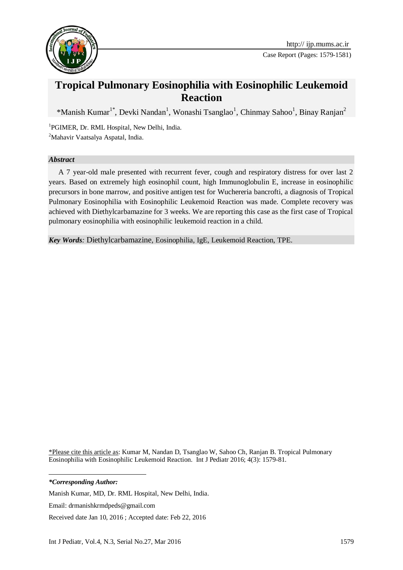

# **Tropical Pulmonary Eosinophilia with Eosinophilic Leukemoid Reaction**

\*Manish Kumar<sup>1\*</sup>, Devki Nandan<sup>1</sup>, Wonashi Tsanglao<sup>1</sup>, Chinmay Sahoo<sup>1</sup>, Binay Ranjan<sup>2</sup>

1 PGIMER, Dr. RML Hospital, New Delhi, India. <sup>2</sup>Mahavir Vaatsalya Aspatal, India.

#### *Abstract*

A 7 year-old male presented with recurrent fever, cough and respiratory distress for over last 2 years. Based on extremely high eosinophil count, high Immunoglobulin E, increase in eosinophilic precursors in bone marrow, and positive antigen test for Wuchereria bancrofti, a diagnosis of Tropical Pulmonary Eosinophilia with Eosinophilic Leukemoid Reaction was made. Complete recovery was achieved with Diethylcarbamazine for 3 weeks. We are reporting this case as the first case of Tropical pulmonary eosinophilia with eosinophilic leukemoid reaction in a child.

*Key Words:* Diethylcarbamazine, Eosinophilia, IgE, Leukemoid Reaction, TPE.

\*Please cite this article as: Kumar M, Nandan D, Tsanglao W, Sahoo Ch, Ranjan B. Tropical Pulmonary Eosinophilia with Eosinophilic Leukemoid Reaction. Int J Pediatr 2016; 4(3): 1579-81.

1 *\*Corresponding Author:*

Manish Kumar, MD, Dr. RML Hospital, New Delhi, India.

Email: drmanishkrmdpeds@gmail.com

Received date Jan 10, 2016 ; Accepted date: Feb 22, 2016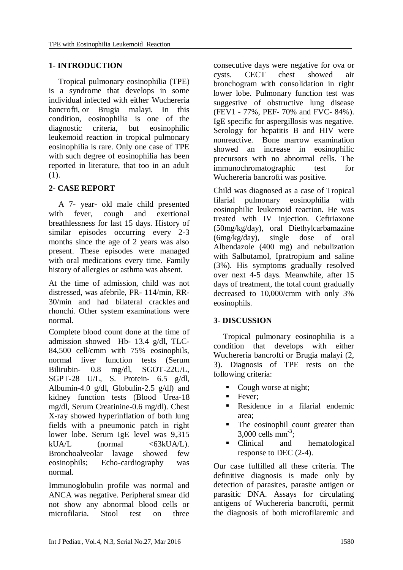# **1- INTRODUCTION**

Tropical pulmonary eosinophilia (TPE) is a syndrome that develops in some individual infected with either Wuchereria bancrofti, or Brugia malayi. In this condition, eosinophilia is one of the diagnostic criteria, but eosinophilic leukemoid reaction in tropical pulmonary eosinophilia is rare. Only one case of TPE with such degree of eosinophilia has been reported in literature, that too in an adult (1).

# **2- CASE REPORT**

A 7- year- old male child presented with fever, cough and exertional breathlessness for last 15 days. History of similar episodes occurring every 2-3 months since the age of 2 years was also present. These episodes were managed with oral medications every time. Family history of allergies or asthma was absent.

At the time of admission, child was not distressed, was afebrile, PR- 114/min, RR-30/min and had bilateral crackles and rhonchi. Other system examinations were normal.

Complete blood count done at the time of admission showed Hb- 13.4 g/dl, TLC-84,500 cell/cmm with 75% eosinophils, normal liver function tests (Serum Bilirubin- 0.8 mg/dl, SGOT-22U/L, SGPT-28 U/L, S. Protein- 6.5 g/dl, Albumin-4.0 g/dl, Globulin-2.5 g/dl) and kidney function tests (Blood Urea-18 mg/dl, Serum Creatinine-0.6 mg/dl). Chest X-ray showed hyperinflation of both lung fields with a pneumonic patch in right lower lobe. Serum IgE level was 9,315  $kUA/L$  (normal  $\langle 63kUA/L \rangle$ ). Bronchoalveolar lavage showed few eosinophils; Echo-cardiography was normal.

Immunoglobulin profile was normal and ANCA was negative. Peripheral smear did not show any abnormal blood cells or microfilaria. Stool test on three

consecutive days were negative for ova or cysts. CECT chest showed air bronchogram with consolidation in right lower lobe. Pulmonary function test was suggestive of obstructive lung disease (FEV1 - 77%, PEF- 70% and FVC- 84%). IgE specific for aspergillosis was negative. Serology for hepatitis B and HIV were nonreactive. Bone marrow examination showed an increase in eosinophilic precursors with no abnormal cells. The immunochromatographic test for Wuchereria bancrofti was positive.

Child was diagnosed as a case of Tropical filarial pulmonary eosinophilia with eosinophilic leukemoid reaction. He was treated with IV injection. Ceftriaxone (50mg/kg/day), oral Diethylcarbamazine (6mg/kg/day), single dose of oral Albendazole (400 mg) and nebulization with Salbutamol, Ipratropium and saline (3%). His symptoms gradually resolved over next 4-5 days. Meanwhile, after 15 days of treatment, the total count gradually decreased to 10,000/cmm with only 3% eosinophils.

### **3- DISCUSSION**

Tropical pulmonary eosinophilia is a condition that develops with either Wuchereria bancrofti or Brugia malayi (2, 3). Diagnosis of TPE rests on the following criteria:

- Cough worse at night;
- **Fever:**
- Residence in a filarial endemic area;
- The eosinophil count greater than  $3,000$  cells mm<sup>-3</sup>;
- Clinical and hematological response to DEC (2-4).

Our case fulfilled all these criteria. The definitive diagnosis is made only by detection of parasites, parasite antigen or parasitic DNA. Assays for circulating antigens of Wuchereria bancrofti, permit the diagnosis of both microfilaremic and